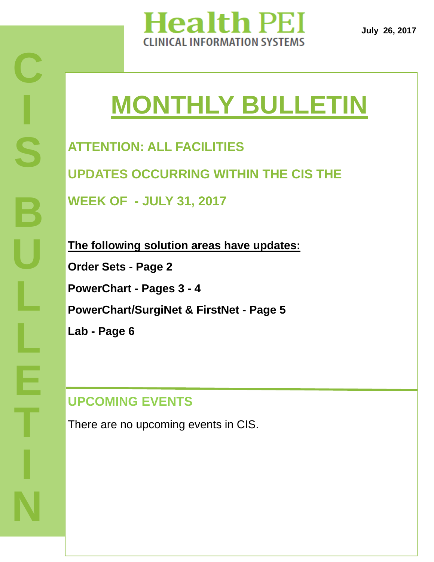

**July 26, 2017** 

# **MONTHLY BULLETIN**

**ATTENTION: ALL FACILITIES UPDATES OCCURRING WITHIN THE CIS THE WEEK OF - JULY 31, 2017** 

**The following solution areas have updates: Order Sets - Page 2 PowerChart - Pages 3 - 4 PowerChart/SurgiNet & FirstNet - Page 5 Lab - Page 6** 

# **UPCOMING EVENTS**

There are no upcoming events in CIS.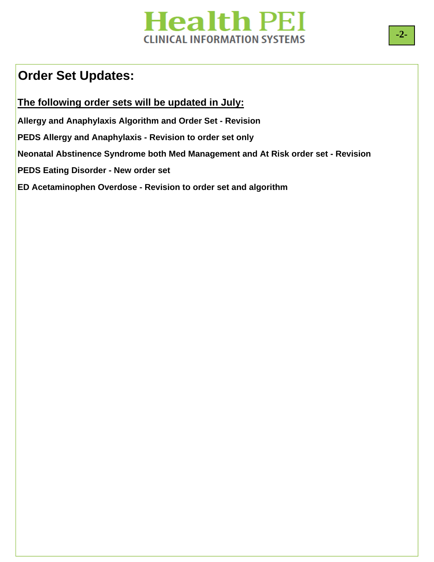# **Health PEI CLINICAL INFORMATION SYSTEMS**

### **Order Set Updates:**

**The following order sets will be updated in July:** 

**Allergy and Anaphylaxis Algorithm and Order Set - Revision** 

**PEDS Allergy and Anaphylaxis - Revision to order set only** 

**Neonatal Abstinence Syndrome both Med Management and At Risk order set - Revision** 

**PEDS Eating Disorder - New order set** 

**ED Acetaminophen Overdose - Revision to order set and algorithm**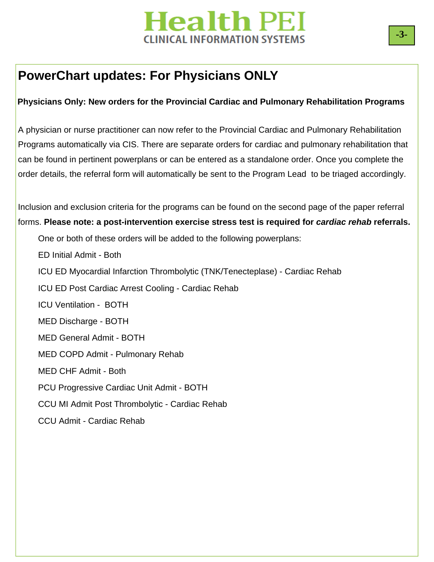# **Health PEI INICAL INFORMATION SYSTEMS**

### **PowerChart updates: For Physicians ONLY**

#### **Physicians Only: New orders for the Provincial Cardiac and Pulmonary Rehabilitation Programs**

A physician or nurse practitioner can now refer to the Provincial Cardiac and Pulmonary Rehabilitation Programs automatically via CIS. There are separate orders for cardiac and pulmonary rehabilitation that can be found in pertinent powerplans or can be entered as a standalone order. Once you complete the order details, the referral form will automatically be sent to the Program Lead to be triaged accordingly.

Inclusion and exclusion criteria for the programs can be found on the second page of the paper referral forms. **Please note: a post-intervention exercise stress test is required for** *cardiac rehab* **referrals.** 

One or both of these orders will be added to the following powerplans:

ED Initial Admit - Both

ICU ED Myocardial Infarction Thrombolytic (TNK/Tenecteplase) - Cardiac Rehab

ICU ED Post Cardiac Arrest Cooling - Cardiac Rehab

ICU Ventilation - BOTH

MED Discharge - BOTH

MED General Admit - BOTH

MED COPD Admit - Pulmonary Rehab

MED CHF Admit - Both

PCU Progressive Cardiac Unit Admit - BOTH

CCU MI Admit Post Thrombolytic - Cardiac Rehab

CCU Admit - Cardiac Rehab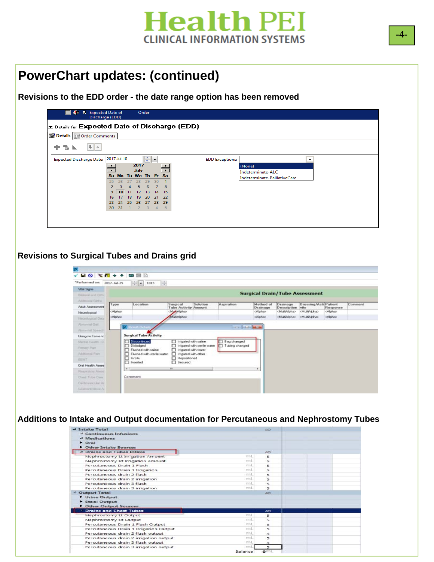

### **PowerChart updates: (continued)**

**Revisions to the EDD order - the date range option has been removed** 

| Ð.<br><b>昆</b> Expected Date of                           | Discharge (EDD)           | Order                                                  |                          |                        |                                                   |              |  |  |  |  |  |
|-----------------------------------------------------------|---------------------------|--------------------------------------------------------|--------------------------|------------------------|---------------------------------------------------|--------------|--|--|--|--|--|
| $\mathbf{z}$ Details for Expected Date of Discharge (EDD) |                           |                                                        |                          |                        |                                                   |              |  |  |  |  |  |
|                                                           | Details UI Order Comments |                                                        |                          |                        |                                                   |              |  |  |  |  |  |
| $   \cdot    \times$<br>÷<br>To In.                       |                           |                                                        |                          |                        |                                                   |              |  |  |  |  |  |
| <b>Expected Discharge Date:</b>                           | 2017-Jul-10               | $\left \frac{\mathbf{A}}{\mathbf{v}}\right $ $\bullet$ |                          | <b>EDD Exceptions:</b> |                                                   | $\checkmark$ |  |  |  |  |  |
|                                                           |                           | 2017<br>July                                           | $\overline{\phantom{0}}$ |                        | (None)                                            |              |  |  |  |  |  |
|                                                           |                           | Su Mo Tu We The Free Sa                                |                          |                        | Indeterminate-ALC<br>Indeterminate-PalliativeCare |              |  |  |  |  |  |
|                                                           | 26<br>25<br>27            | 28<br>29<br>30                                         |                          |                        |                                                   |              |  |  |  |  |  |
|                                                           | 10<br>9                   | 5<br>8<br>6<br>12<br>13<br>15<br>14                    |                          |                        |                                                   |              |  |  |  |  |  |
|                                                           | 17<br>18<br>16            | 22<br>19<br>20<br>-21                                  |                          |                        |                                                   |              |  |  |  |  |  |
|                                                           | 25<br>23<br>24            | 29<br>-27<br>28<br>26                                  |                          |                        |                                                   |              |  |  |  |  |  |
|                                                           | 30<br>31                  | 3<br>-5<br>$\overline{2}$<br>$\overline{4}$            |                          |                        |                                                   |              |  |  |  |  |  |
|                                                           |                           |                                                        |                          |                        |                                                   |              |  |  |  |  |  |
|                                                           |                           |                                                        |                          |                        |                                                   |              |  |  |  |  |  |

#### **Revisions to Surgical Tubes and Drains grid**

| "Performed on: 2017-Jul-25                                                                  |                         | 临<br>$\frac{4}{3}$ $\bullet$ 1015                                   |                                                                      |          |                                    |                                          |                                                      |                                               |                             |         |
|---------------------------------------------------------------------------------------------|-------------------------|---------------------------------------------------------------------|----------------------------------------------------------------------|----------|------------------------------------|------------------------------------------|------------------------------------------------------|-----------------------------------------------|-----------------------------|---------|
| Vital Signs<br><b>Surgical Drain/Tube Assessment</b><br>Blateral and Orthi<br>Address Gitty |                         |                                                                     |                                                                      |          |                                    |                                          |                                                      |                                               |                             |         |
| <b>Adult Assessment</b><br>Neurological                                                     | Type<br><alpha></alpha> | Location                                                            | Surgical<br><b>Tube Activity Amount</b><br><multialpha></multialpha> | Solution | Aspiration                         | Method of<br>Drainage<br><alpha></alpha> | Drainage<br>Description<br><multialpha></multialpha> | Dressing/Acti Patient<br>vity<br>cMultiAlpha> | Response<br><alpha></alpha> | Comment |
| Neumlopical Distal<br>Abrigative Get                                                        | cAlphao                 |                                                                     | certalAtti M                                                         |          |                                    | cAlphan                                  | cMultiAlpha>                                         | cMultiAlphas                                  | cAlphab                     |         |
| <b>Renormal Speech</b><br>Glasgow Coma v.                                                   | P                       | <b>Install</b><br><b>Surgical Tube Activity</b>                     |                                                                      |          | $\Box$ $\Box$ $\Box$               |                                          |                                                      |                                               |                             |         |
| Mardal Houtto (C)<br>Firmary Parn                                                           | ⊓                       | Discontinued<br>Dislodged                                           | Inigated with saline<br>Inigated with sterile water                  |          | Bag changed<br>⊓<br>Tubing changed |                                          |                                                      |                                               |                             |         |
| <b>Additional Page</b><br>FENT                                                              |                         | Flushed with saline<br>Flushed with sterile water<br>$\Box$ In Situ | I Imigated with water<br>Imigated with other<br>□ Repositioned       |          |                                    |                                          |                                                      |                                               |                             |         |
| Oral Health Asses<br>Resources Asses                                                        | $\epsilon$              | Inserted                                                            | $\Box$ Secured<br>m.                                                 |          |                                    |                                          |                                                      |                                               |                             |         |
| Chest Tobe Care<br>Cardovascular Av                                                         |                         | Comment                                                             |                                                                      |          |                                    |                                          |                                                      |                                               |                             |         |
|                                                                                             |                         |                                                                     |                                                                      |          |                                    |                                          |                                                      |                                               |                             |         |

T**REVISIONS**HE A **Additions to Intake and Output documentation for Percutaneous and Nephrostomy Tubes** 

| 4 Intake Total                         |         | 40 <sup>°</sup> |  |
|----------------------------------------|---------|-----------------|--|
| 4 Continuous Infusions                 |         |                 |  |
| 4 Medications                          |         |                 |  |
| $\triangleright$ Oral                  |         |                 |  |
| Other Intake Sources                   |         |                 |  |
| 4 Drains and Tubes Intake              |         | 40              |  |
| Nephrostomy Lt Irrigation Amount       | mL      | 5               |  |
| Nephrostomy Rt Irrigation Amount       | mt      | 5               |  |
| Percutaneous Drain 1 Flush             | mi      | 5               |  |
| Percutaneous Drain 1 Irrigation        | mL      | 5               |  |
| Percutaneous drain 2 flush             | mt      | 5               |  |
| Percutaneous drain 2 irrigation        | mi      | $\overline{5}$  |  |
| Percutaneous drain 3 flush             | mL      | $\overline{5}$  |  |
| Percutaneous drain 3 irrigation        | m1.     | 5               |  |
| 4 Output Total                         |         | 40 <sup>o</sup> |  |
| Urine Output                           |         |                 |  |
| Stool Output                           |         |                 |  |
| Other Output Sources                   |         |                 |  |
| <b>Drains and Chest Tubes</b>          |         | 40              |  |
| Nephrostomy Lt Output                  | m1.     | 5               |  |
| Nephrostomy Rt Output                  | mL      | 5               |  |
| Percutaneous Drain 1 Flush Output      | mi.     | 5               |  |
| Percutaneous Drain 1 Irrigation Output | mi.     | $\overline{5}$  |  |
| Percutaneous drain 2 flush output      | mL      | 5               |  |
| Percutaneous drain 2 irrigation output | mL      | 5               |  |
| Percutaneous drain 3 flush output      | mL      | 5               |  |
| Percutaneous drain 3 irrigation output | mt      | $\overline{5}$  |  |
|                                        | Balance | Q <sub>1</sub>  |  |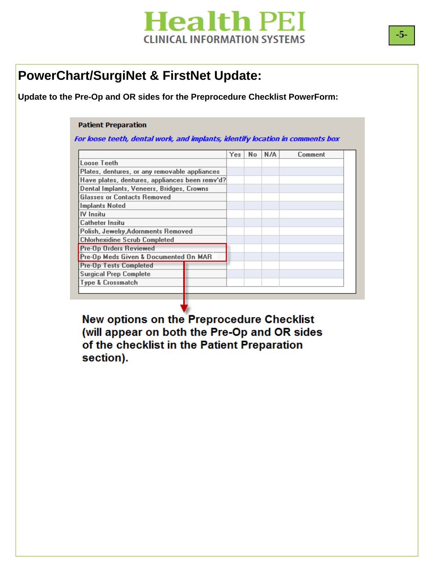# **Health PEI CLINICAL INFORMATION SYSTEMS**

### **PowerChart/SurgiNet & FirstNet Update:**

#### **Update to the Pre-Op and OR sides for the Preprocedure Checklist PowerForm:**

#### **Patient Preparation**

For loose teeth, dental work, and implants, identify location in comments box

|                                                | Yes | No | N/A | Comment |
|------------------------------------------------|-----|----|-----|---------|
| Loose Teeth                                    |     |    |     |         |
| Plates, dentures, or any removable appliances  |     |    |     |         |
| Have plates, dentures, appliances been remy'd? |     |    |     |         |
| Dental Implants, Veneers, Bridges, Crowns      |     |    |     |         |
| <b>Glasses or Contacts Removed</b>             |     |    |     |         |
| <b>Implants Noted</b>                          |     |    |     |         |
| <b>IV</b> Insitu                               |     |    |     |         |
| <b>Catheter Insitu</b>                         |     |    |     |         |
| Polish, Jewelry, Adornments Removed            |     |    |     |         |
| <b>Chlorhexidine Scrub Completed</b>           |     |    |     |         |
| <b>Pre-Op Orders Reviewed</b>                  |     |    |     |         |
| Pre-Op Meds Given & Documented On MAR          |     |    |     |         |
| <b>Pre-Op Tests Completed</b>                  |     |    |     |         |
| <b>Surgical Prep Complete</b>                  |     |    |     |         |
| Type & Crossmatch                              |     |    |     |         |
|                                                |     |    |     |         |

**New options on the Preprocedure Checklist** (will appear on both the Pre-Op and OR sides **Doci the checklist in the Patient Preparation** section).